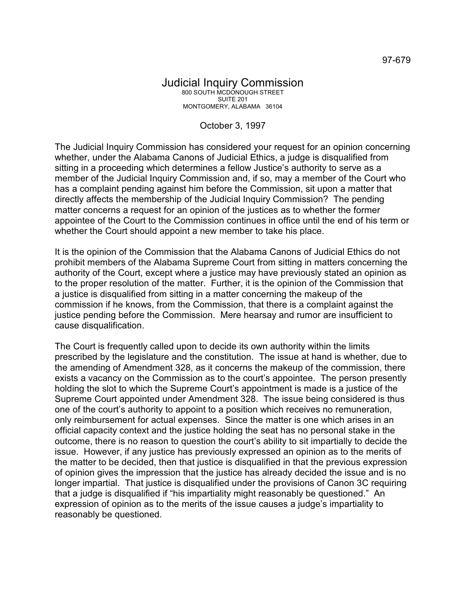## Judicial Inquiry Commission 800 SOUTH MCDONOUGH STREET SUITE 201 MONTGOMERY, ALABAMA 36104

## October 3, 1997

The Judicial Inquiry Commission has considered your request for an opinion concerning whether, under the Alabama Canons of Judicial Ethics, a judge is disqualified from sitting in a proceeding which determines a fellow Justice's authority to serve as a member of the Judicial Inquiry Commission and, if so, may a member of the Court who has a complaint pending against him before the Commission, sit upon a matter that directly affects the membership of the Judicial Inquiry Commission? The pending matter concerns a request for an opinion of the justices as to whether the former appointee of the Court to the Commission continues in office until the end of his term or whether the Court should appoint a new member to take his place.

It is the opinion of the Commission that the Alabama Canons of Judicial Ethics do not prohibit members of the Alabama Supreme Court from sitting in matters concerning the authority of the Court, except where a justice may have previously stated an opinion as to the proper resolution of the matter. Further, it is the opinion of the Commission that a justice is disqualified from sitting in a matter concerning the makeup of the commission if he knows, from the Commission, that there is a complaint against the justice pending before the Commission. Mere hearsay and rumor are insufficient to cause disqualification.

The Court is frequently called upon to decide its own authority within the limits prescribed by the legislature and the constitution. The issue at hand is whether, due to the amending of Amendment 328, as it concerns the makeup of the commission, there exists a vacancy on the Commission as to the court's appointee. The person presently holding the slot to which the Supreme Court's appointment is made is a justice of the Supreme Court appointed under Amendment 328. The issue being considered is thus one of the court's authority to appoint to a position which receives no remuneration, only reimbursement for actual expenses. Since the matter is one which arises in an official capacity context and the justice holding the seat has no personal stake in the outcome, there is no reason to question the court's ability to sit impartially to decide the issue. However, if any justice has previously expressed an opinion as to the merits of the matter to be decided, then that justice is disqualified in that the previous expression of opinion gives the impression that the justice has already decided the issue and is no longer impartial. That justice is disqualified under the provisions of Canon 3C requiring that a judge is disqualified if "his impartiality might reasonably be questioned." An expression of opinion as to the merits of the issue causes a judge's impartiality to reasonably be questioned.